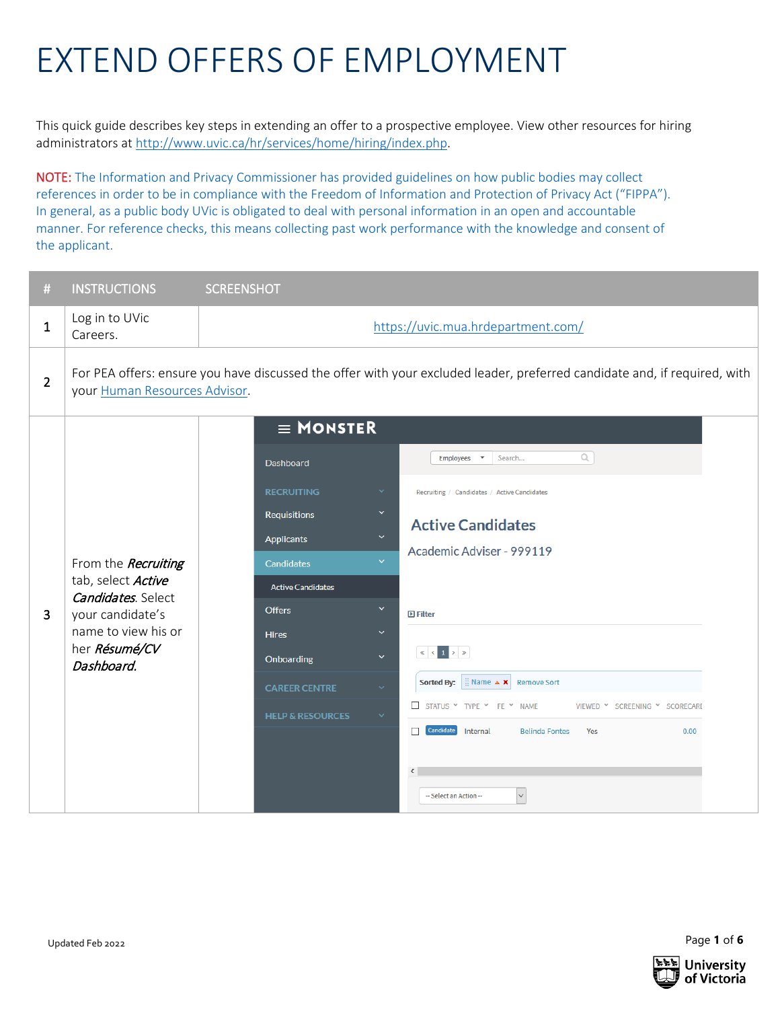## EXTEND OFFERS OF EMPLOYMENT

This quick guide describes key steps in extending an offer to a prospective employee. View other resources for hiring administrators a[t http://www.uvic.ca/hr/services/home/hiring/index.php.](http://www.uvic.ca/hr/services/home/hiring/index.php)

NOTE: The Information and Privacy Commissioner has provided guidelines on how public bodies may collect references in order to be in compliance with the Freedom of Information and Protection of Privacy Act ("FIPPA"). In general, as a public body UVic is obligated to deal with personal information in an open and accountable manner. For reference checks, this means collecting past work performance with the knowledge and consent of the applicant.

| #              | <b>INSTRUCTIONS</b>                                                                                                                               | <b>SCREENSHOT</b>                                                                                                                                                                                                                                                                                                                                                                                                                                                                                                                                                                                                                                                                                                                                                                                                                                                                            |  |  |  |
|----------------|---------------------------------------------------------------------------------------------------------------------------------------------------|----------------------------------------------------------------------------------------------------------------------------------------------------------------------------------------------------------------------------------------------------------------------------------------------------------------------------------------------------------------------------------------------------------------------------------------------------------------------------------------------------------------------------------------------------------------------------------------------------------------------------------------------------------------------------------------------------------------------------------------------------------------------------------------------------------------------------------------------------------------------------------------------|--|--|--|
| 1              | Log in to UVic<br>Careers.                                                                                                                        | https://uvic.mua.hrdepartment.com/                                                                                                                                                                                                                                                                                                                                                                                                                                                                                                                                                                                                                                                                                                                                                                                                                                                           |  |  |  |
| $\overline{2}$ | your Human Resources Advisor.                                                                                                                     | For PEA offers: ensure you have discussed the offer with your excluded leader, preferred candidate and, if required, with                                                                                                                                                                                                                                                                                                                                                                                                                                                                                                                                                                                                                                                                                                                                                                    |  |  |  |
| 3              | From the Recruiting<br>tab, select Active<br><b>Candidates</b> . Select<br>your candidate's<br>name to view his or<br>her Résumé/CV<br>Dashboard. | $\equiv$ MONSTER<br>$\alpha$<br>Search<br>Employees $\mathbf{\ast}$<br>Dashboard<br><b>RECRUITING</b><br>$\checkmark$<br>Recruiting / Candidates / Active Candidates<br>$\checkmark$<br>Requisitions<br><b>Active Candidates</b><br>$\checkmark$<br><b>Applicants</b><br>Academic Adviser - 999119<br>$\checkmark$<br>Candidates<br><b>Active Candidates</b><br>$\checkmark$<br><b>Offers</b><br>$\blacksquare$ Filter<br>$\checkmark$<br><b>Hires</b><br>$\ll$ $\mid$ $\leq$ $\mid$ 1 $\mid$ $>$ $\mid$ $\gg$<br>$\checkmark$<br>Onboarding<br><b>Sorted By:</b><br>Name $\triangle$ <b>X</b> Remove Sort<br><b>CAREER CENTRE</b><br>$\checkmark$<br>STATUS Y TYPE Y FE Y NAME<br>VIEWED Y SCREENING Y SCORECARD<br><b>HELP &amp; RESOURCES</b><br>$\checkmark$<br>Candidate<br>Internal<br><b>Belinda Fontes</b><br>Yes<br>0.00<br>П<br>$\epsilon$<br>$\backsim$<br>-- Select an Action -- |  |  |  |

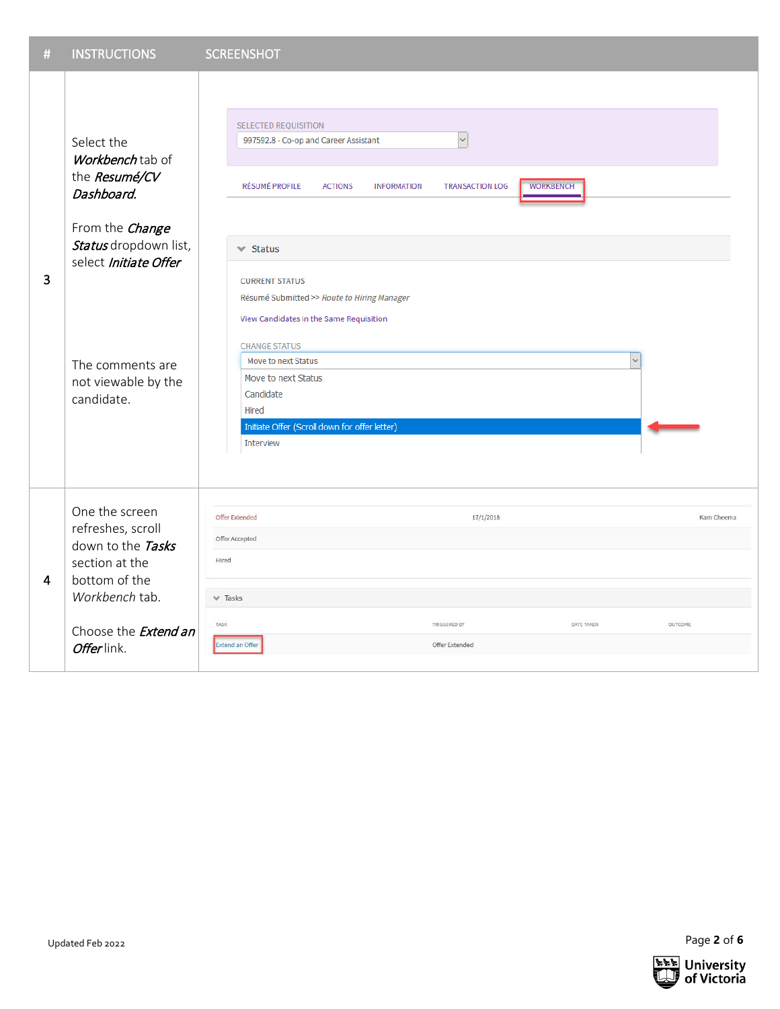| $\#$ | <b>INSTRUCTIONS</b>                                                                                                                                                                         | <b>SCREENSHOT</b>                                                                                                                                                                                                                                                                                                                                                                                                                                                                                                                                   |            |
|------|---------------------------------------------------------------------------------------------------------------------------------------------------------------------------------------------|-----------------------------------------------------------------------------------------------------------------------------------------------------------------------------------------------------------------------------------------------------------------------------------------------------------------------------------------------------------------------------------------------------------------------------------------------------------------------------------------------------------------------------------------------------|------------|
| 3    | Select the<br>Workbench tab of<br>the Resumé/CV<br>Dashboard.<br>From the Change<br>Status dropdown list,<br>select Initiate Offer<br>The comments are<br>not viewable by the<br>candidate. | <b>SELECTED REQUISITION</b><br>$\overline{\phantom{0}}$<br>997592.8 - Co-op and Career Assistant<br><b>WORKBENCH</b><br><b>TRANSACTION LOG</b><br><b>RÉSUMÉ PROFILE</b><br><b>ACTIONS</b><br><b>INFORMATION</b><br>$\blacktriangleright$ Status<br><b>CURRENT STATUS</b><br>Résumé Submitted >> Route to Hiring Manager<br>View Candidates in the Same Requisition<br><b>CHANGE STATUS</b><br>Move to next Status<br>$\checkmark$<br>Move to next Status<br>Candidate<br>Hired<br>Initiate Offer (Scroll down for offer letter)<br><b>Interview</b> |            |
| 4    | One the screen<br>refreshes, scroll<br>down to the Tasks<br>section at the<br>bottom of the<br>Workbench tab.<br>Choose the <b>Extend an</b>                                                | Offer Extended<br>17/1/2018<br>Offer Accepted<br>Hired<br>$\vee$ Tasks<br>TASK<br>TRIGGERED BY<br>DATE TAKEN<br><b>OUTCOME</b>                                                                                                                                                                                                                                                                                                                                                                                                                      | Kam Cheema |
|      | Offerlink.                                                                                                                                                                                  | <b>Extend an Offer</b><br><b>Offer Extended</b>                                                                                                                                                                                                                                                                                                                                                                                                                                                                                                     |            |

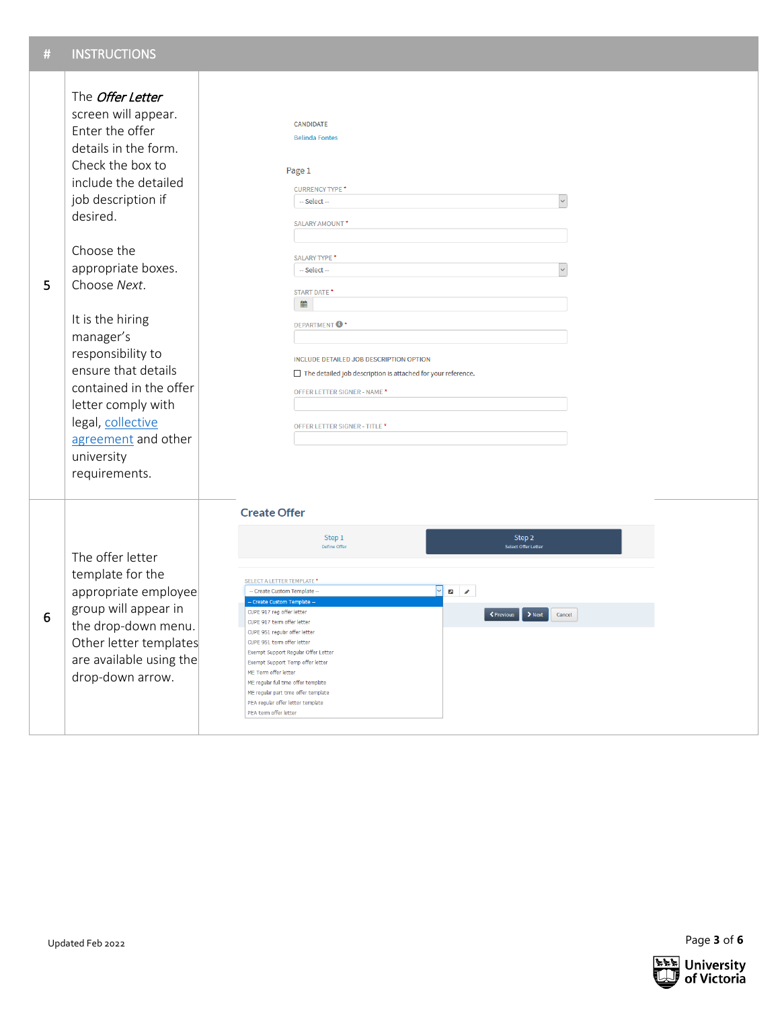| 5               | The <i>Offer Letter</i><br>screen will appear.<br>Enter the offer<br>details in the form.<br>Check the box to<br>include the detailed<br>job description if<br>desired.<br>Choose the<br>appropriate boxes.<br>Choose Next.<br>It is the hiring<br>manager's<br>responsibility to<br>ensure that details<br>contained in the offer<br>letter comply with<br>legal, collective<br>agreement and other<br>university<br>requirements. | CANDIDATE<br><b>Belinda Fontes</b><br>Page 1<br><b>CURRENCY TYPE *</b><br>$\backsim$<br>-- Select --<br>SALARY AMOUNT*<br><b>SALARY TYPE *</b><br>-- Select --<br>START DATE*<br>雦<br><b>DEPARTMENT<sup>O</sup></b><br>INCLUDE DETAILED JOB DESCRIPTION OPTION<br>The detailed job description is attached for your reference.<br>OFFER LETTER SIGNER - NAME <sup>*</sup><br>OFFER LETTER SIGNER - TITLE *                                                                                                                                                                                                                                                  |  |
|-----------------|-------------------------------------------------------------------------------------------------------------------------------------------------------------------------------------------------------------------------------------------------------------------------------------------------------------------------------------------------------------------------------------------------------------------------------------|-------------------------------------------------------------------------------------------------------------------------------------------------------------------------------------------------------------------------------------------------------------------------------------------------------------------------------------------------------------------------------------------------------------------------------------------------------------------------------------------------------------------------------------------------------------------------------------------------------------------------------------------------------------|--|
| $6\phantom{1}6$ | The offer letter<br>template for the<br>appropriate employee<br>group will appear in<br>the drop-down menu.<br>Other letter templates<br>are available using the<br>drop-down arrow.                                                                                                                                                                                                                                                | <b>Create Offer</b><br>Step 2<br>Step 1<br>Define Offer<br>Select Offer Letter<br><b>SELECT A LETTER TEMPLATE</b><br>$ \!\! \backsim \!  \! $<br>-- Create Custom Template -<br>$\blacksquare$<br>- Create Custom Template -<br>CUPE 917 reg offer letter<br>← Previous<br>$\blacktriangleright$ Next<br>Cancel<br>CUPE 917 term offer letter<br>CUPE 951 regular offer letter<br>CUPE 951 term offer letter<br>Exempt Support Regular Offer Letter<br>Exempt Support Temp offer letter<br>ME Term offer letter<br>ME regular full time offer template<br>ME regular part time offer template<br>PEA regular offer letter template<br>PEA term offer letter |  |



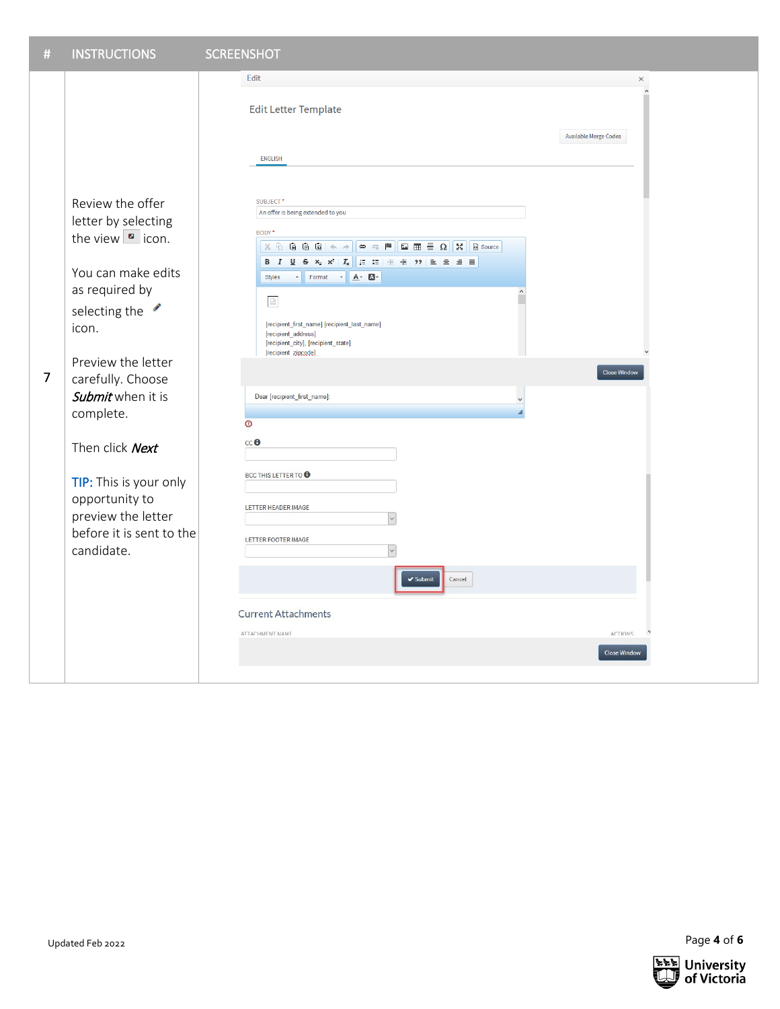

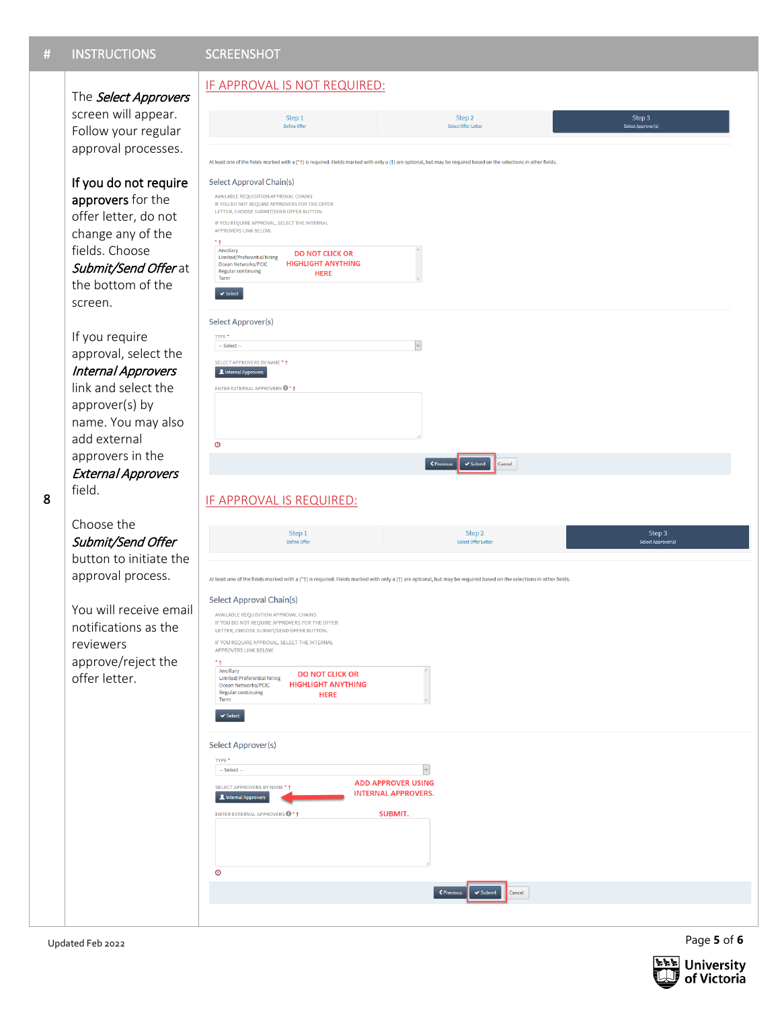## # INSTRUCTIONS SCREENSHOT

## The Select Approvers screen will appear. Follow your regular approval processes.

If you do not require approvers for the offer letter, do not change any of the fields. Choose Submit/Send Offer at the bottom of the screen.

If you require approval, select the Internal Approvers link and select the approver(s) by name. You may also add external approvers in the External Approvers field.

Choose the Submit/Send Offer button to initiate the approval process.

8

You will receive email notifications as the reviewers approve/reject the offer letter.

 $\circ$ 

## IF APPROVAL IS NOT REQUIRED: Step 1 Step 2 Step 3 Defi ast one of the fields marked with a (\*†) is required. Fields marked with only a (†) are optional, but may be required based on the selections in otl Select Approval Chain(s) AVAILABLE REQUISITION APPROVAL CHAINS IF YOU DO NOT REQUIRE APPROVERS FOR THE OFFER LETTER, CHOOSE SUBMIT/SEND OFFER BUTTON IF YOU REQUIRE APPROVAL, SELECT THE INTERNAL APPROVERS LINK BELOW.  $++$ Ancillary<br>Limited/Preferential hiring **DO NOT CLICK OR** Dinned/Freehendam<br>Ocean Networks/PCIC<br>Regular continuing<br>Term **HIGHLIGHT ANYTHING** HERE  $\overline{\mathbf{v}}$  Select Select Approver(s) TYPE<sup>\*</sup>  $\backsim$  $-$  Select SELECT APPROVERS BY NAME \* + A Internal Approvers ENTER EXTERNAL APPROVERS  $\bigcirc$  \* †  $\bullet$ └ < Previous │ ↓ Submit **Cancel** IF APPROVAL IS REQUIRED:Step 2 Step 1 Step 3<br>Select Approve At least one of the fields marked with a (\*+) is required. Fields marked with only a (†) are optional, but may be required based on the selections in other fields Select Approval Chain(s) AVAILABLE REQUISITION APPROVAL CHAINS IF YOU DO NOT REQUIRE APPROVERS FOR THE OFFER LETTER, CHOOSE SUBMIT/SEND OFFER BUTTON. IF YOU REQUIRE APPROVAL, SELECT THE INTERNAL APPROVERS LINK BELOW  $*+$ Ancillary **DO NOT CLICK OR** Anchiary<br>Limited/Preferential hiring<br>Ocean Networks/PCIC **HIGHLIGHT ANYTHING** Regular continuing **HERE**  $\blacktriangleright$  Select Select Approver(s) TYPE<sup>\*</sup>  $-$  Select  $\backsim$ **ADD APPROVER USING** SELECT APPROVERS BY NAME<sup>\*</sup> **INTERNAL APPROVERS.** Linternal Approvers ENTER EXTERNAL APPROVERS <sup>+</sup> SUBMIT.

Cancel